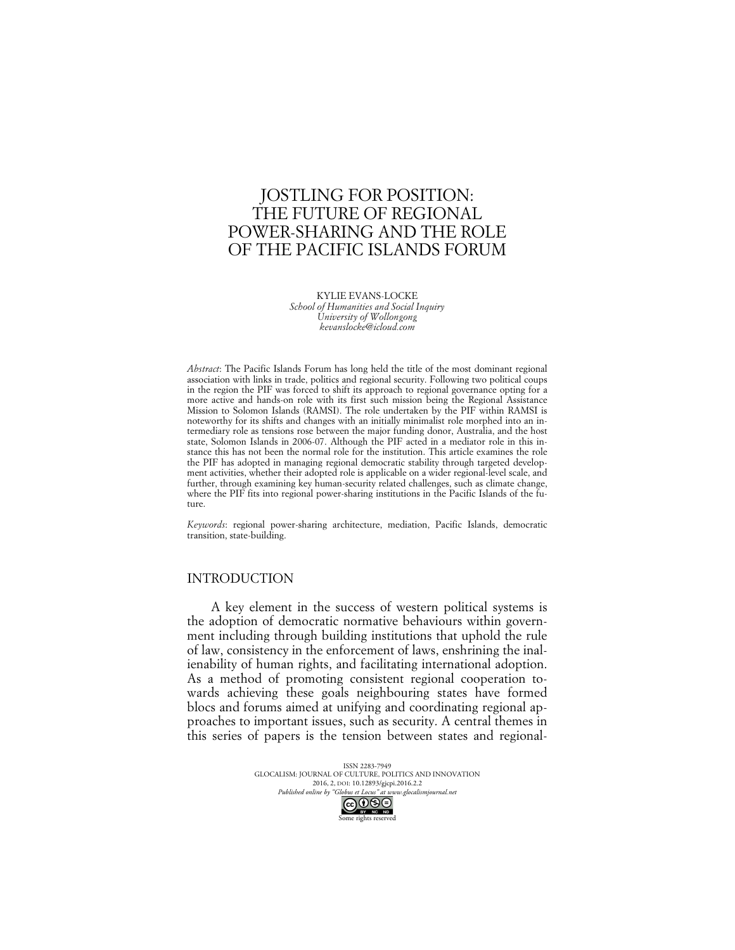# JOSTLING FOR POSITION: THE FUTURE OF REGIONAL POWER-SHARING AND THE ROLE OF THE PACIFIC ISLANDS FORUM

KYLIE EVANS-LOCKE *School of Humanities and Social Inquiry University of Wollongong kevanslocke@icloud.com*

*Abstract*: The Pacific Islands Forum has long held the title of the most dominant regional association with links in trade, politics and regional security. Following two political coups in the region the PIF was forced to shift its approach to regional governance opting for a more active and hands-on role with its first such mission being the Regional Assistance Mission to Solomon Islands (RAMSI). The role undertaken by the PIF within RAMSI is noteworthy for its shifts and changes with an initially minimalist role morphed into an intermediary role as tensions rose between the major funding donor, Australia, and the host state, Solomon Islands in 2006-07. Although the PIF acted in a mediator role in this instance this has not been the normal role for the institution. This article examines the role the PIF has adopted in managing regional democratic stability through targeted development activities, whether their adopted role is applicable on a wider regional-level scale, and further, through examining key human-security related challenges, such as climate change, where the PIF fits into regional power-sharing institutions in the Pacific Islands of the future.

*Keywords*: regional power-sharing architecture, mediation, Pacific Islands, democratic transition, state-building.

### INTRODUCTION

A key element in the success of western political systems is the adoption of democratic normative behaviours within government including through building institutions that uphold the rule of law, consistency in the enforcement of laws, enshrining the inalienability of human rights, and facilitating international adoption. As a method of promoting consistent regional cooperation towards achieving these goals neighbouring states have formed blocs and forums aimed at unifying and coordinating regional approaches to important issues, such as security. A central themes in this series of papers is the tension between states and regional-

> ISSN 2283-7949 GLOCALISM: JOURNAL OF CULTURE, POLITICS AND INNOVATION 2016, 2, DOI: 10.12893/gjcpi.2016.2.2 *Published online by "Globus et Locus" at www.glocalismjournal.net*<br>  $\bigodot \bigodot$   $\bigodot$   $\bigodot$ ome rights reserved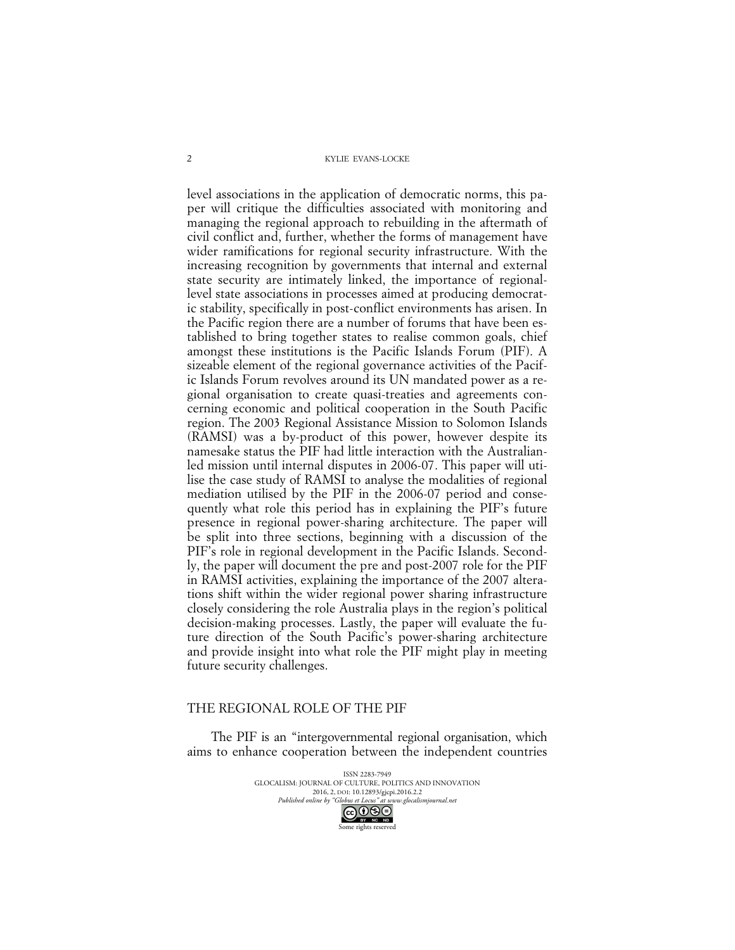level associations in the application of democratic norms, this paper will critique the difficulties associated with monitoring and managing the regional approach to rebuilding in the aftermath of civil conflict and, further, whether the forms of management have wider ramifications for regional security infrastructure. With the increasing recognition by governments that internal and external state security are intimately linked, the importance of regionallevel state associations in processes aimed at producing democratic stability, specifically in post-conflict environments has arisen. In the Pacific region there are a number of forums that have been established to bring together states to realise common goals, chief amongst these institutions is the Pacific Islands Forum (PIF). A sizeable element of the regional governance activities of the Pacific Islands Forum revolves around its UN mandated power as a regional organisation to create quasi-treaties and agreements concerning economic and political cooperation in the South Pacific region. The 2003 Regional Assistance Mission to Solomon Islands (RAMSI) was a by-product of this power, however despite its namesake status the PIF had little interaction with the Australianled mission until internal disputes in 2006-07. This paper will utilise the case study of RAMSI to analyse the modalities of regional mediation utilised by the PIF in the 2006-07 period and consequently what role this period has in explaining the PIF's future presence in regional power-sharing architecture. The paper will be split into three sections, beginning with a discussion of the PIF's role in regional development in the Pacific Islands. Secondly, the paper will document the pre and post-2007 role for the PIF in RAMSI activities, explaining the importance of the 2007 alterations shift within the wider regional power sharing infrastructure closely considering the role Australia plays in the region's political decision-making processes. Lastly, the paper will evaluate the future direction of the South Pacific's power-sharing architecture and provide insight into what role the PIF might play in meeting future security challenges.

# THE REGIONAL ROLE OF THE PIF

The PIF is an "intergovernmental regional organisation, which aims to enhance cooperation between the independent countries

> ISSN 2283-7949 GLOCALISM: JOURNAL OF CULTURE, POLITICS AND INNOVATION 2016, 2, DOI: 10.12893/gjcpi.2016.2.2<br>nline by "Globus et Locus" at www.glocalismiournal net *Published online by "Globus et Locus" at www.glocalismigues*  $\bigodot$   $\bigodot$   $\bigodot$   $\bigodot$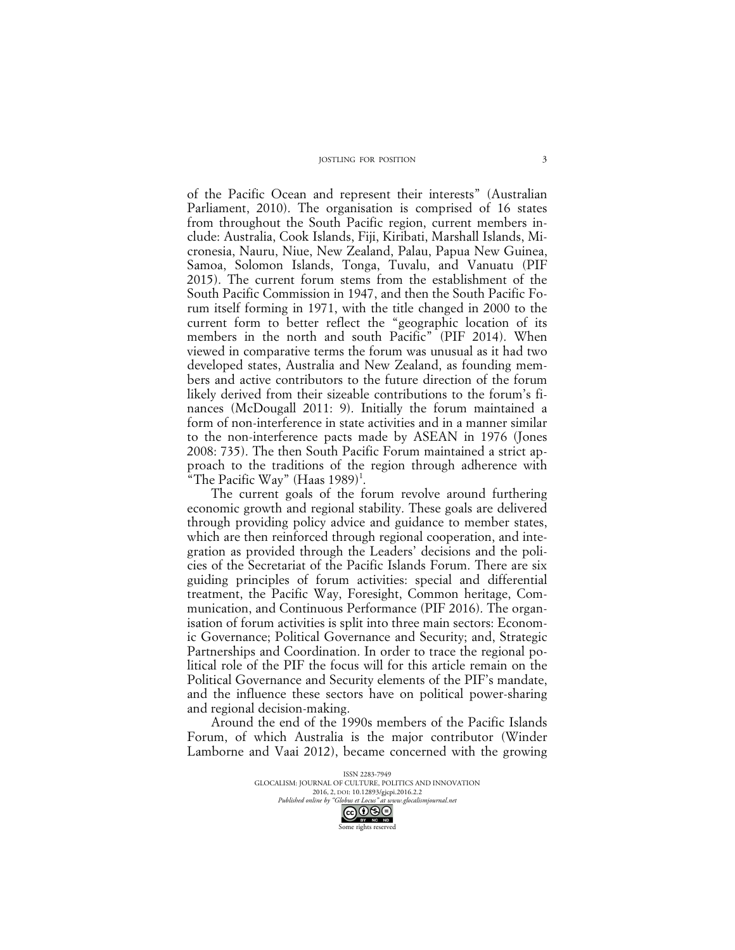of the Pacific Ocean and represent their interests" (Australian Parliament, 2010). The organisation is comprised of 16 states from throughout the South Pacific region, current members include: Australia, Cook Islands, Fiji, Kiribati, Marshall Islands, Micronesia, Nauru, Niue, New Zealand, Palau, Papua New Guinea, Samoa, Solomon Islands, Tonga, Tuvalu, and Vanuatu (PIF 2015). The current forum stems from the establishment of the South Pacific Commission in 1947, and then the South Pacific Forum itself forming in 1971, with the title changed in 2000 to the current form to better reflect the "geographic location of its members in the north and south Pacific" (PIF 2014). When viewed in comparative terms the forum was unusual as it had two developed states, Australia and New Zealand, as founding members and active contributors to the future direction of the forum likely derived from their sizeable contributions to the forum's finances (McDougall 2011: 9). Initially the forum maintained a form of non-interference in state activities and in a manner similar to the non-interference pacts made by ASEAN in 1976 (Jones 2008: 735). The then South Pacific Forum maintained a strict approach to the traditions of the region through adherence with "The Pacific Way" (Haas  $1989$ )<sup>1</sup>.

The current goals of the forum revolve around furthering economic growth and regional stability. These goals are delivered through providing policy advice and guidance to member states, which are then reinforced through regional cooperation, and integration as provided through the Leaders' decisions and the policies of the Secretariat of the Pacific Islands Forum. There are six guiding principles of forum activities: special and differential treatment, the Pacific Way, Foresight, Common heritage, Communication, and Continuous Performance (PIF 2016). The organisation of forum activities is split into three main sectors: Economic Governance; Political Governance and Security; and, Strategic Partnerships and Coordination. In order to trace the regional political role of the PIF the focus will for this article remain on the Political Governance and Security elements of the PIF's mandate, and the influence these sectors have on political power-sharing and regional decision-making.

Around the end of the 1990s members of the Pacific Islands Forum, of which Australia is the major contributor (Winder Lamborne and Vaai 2012), became concerned with the growing

> ISSN 2283-7949 GLOCALISM: JOURNAL OF CULTURE, POLITICS AND INNOVATION 2016, 2, DOI: 10.12893/gjcpi.2016.2.2<br>nline by "Globus et Locus" at www.glocalismiournal net *Published online by "Globus et Locus" at www.glocalismigues*  $\bigodot_{\text{BV}} \bigodot_{\text{NC}} \bigodot_{\text{ND}}$ Some rights reserved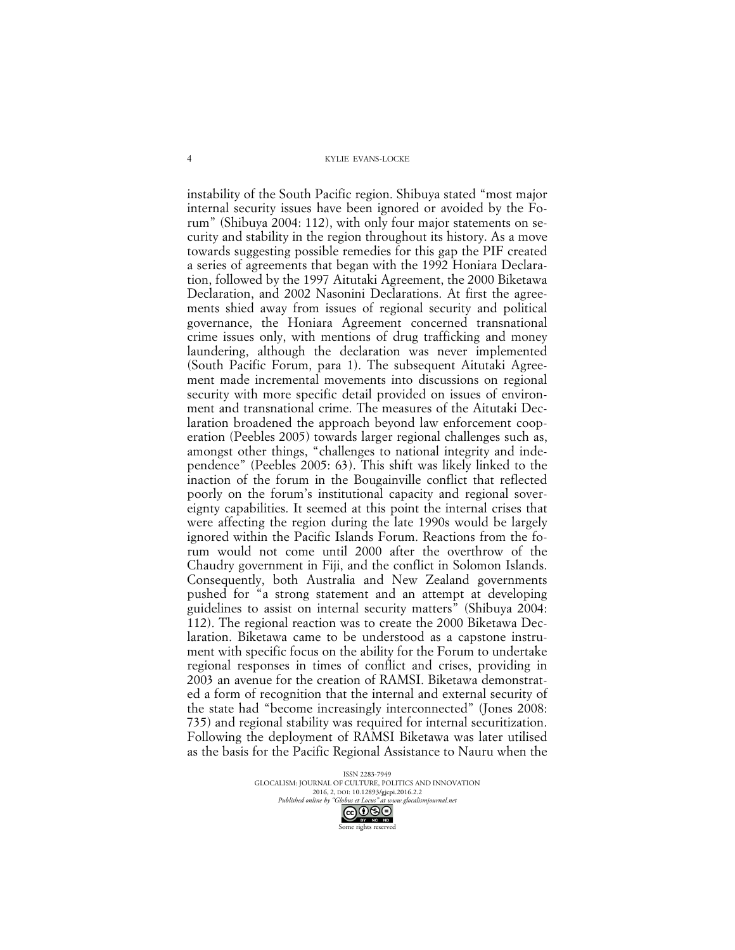instability of the South Pacific region. Shibuya stated "most major internal security issues have been ignored or avoided by the Forum" (Shibuya 2004: 112), with only four major statements on security and stability in the region throughout its history. As a move towards suggesting possible remedies for this gap the PIF created a series of agreements that began with the 1992 Honiara Declaration, followed by the 1997 Aitutaki Agreement, the 2000 Biketawa Declaration, and 2002 Nasonini Declarations. At first the agreements shied away from issues of regional security and political governance, the Honiara Agreement concerned transnational crime issues only, with mentions of drug trafficking and money laundering, although the declaration was never implemented (South Pacific Forum, para 1). The subsequent Aitutaki Agreement made incremental movements into discussions on regional security with more specific detail provided on issues of environment and transnational crime. The measures of the Aitutaki Declaration broadened the approach beyond law enforcement cooperation (Peebles 2005) towards larger regional challenges such as, amongst other things, "challenges to national integrity and independence" (Peebles 2005: 63). This shift was likely linked to the inaction of the forum in the Bougainville conflict that reflected poorly on the forum's institutional capacity and regional sovereignty capabilities. It seemed at this point the internal crises that were affecting the region during the late 1990s would be largely ignored within the Pacific Islands Forum. Reactions from the forum would not come until 2000 after the overthrow of the Chaudry government in Fiji, and the conflict in Solomon Islands. Consequently, both Australia and New Zealand governments pushed for "a strong statement and an attempt at developing guidelines to assist on internal security matters" (Shibuya 2004: 112). The regional reaction was to create the 2000 Biketawa Declaration. Biketawa came to be understood as a capstone instrument with specific focus on the ability for the Forum to undertake regional responses in times of conflict and crises, providing in 2003 an avenue for the creation of RAMSI. Biketawa demonstrated a form of recognition that the internal and external security of the state had "become increasingly interconnected" (Jones 2008: 735) and regional stability was required for internal securitization. Following the deployment of RAMSI Biketawa was later utilised as the basis for the Pacific Regional Assistance to Nauru when the

> ISSN 2283-7949 GLOCALISM: JOURNAL OF CULTURE, POLITICS AND INNOVATION 2016, 2, DOI: 10.12893/gjcpi.2016.2.2<br>nline by "Globus et Locus" at www.glocalismiournal net *Published online by "Globus et Locus" at www.glocalismigues*

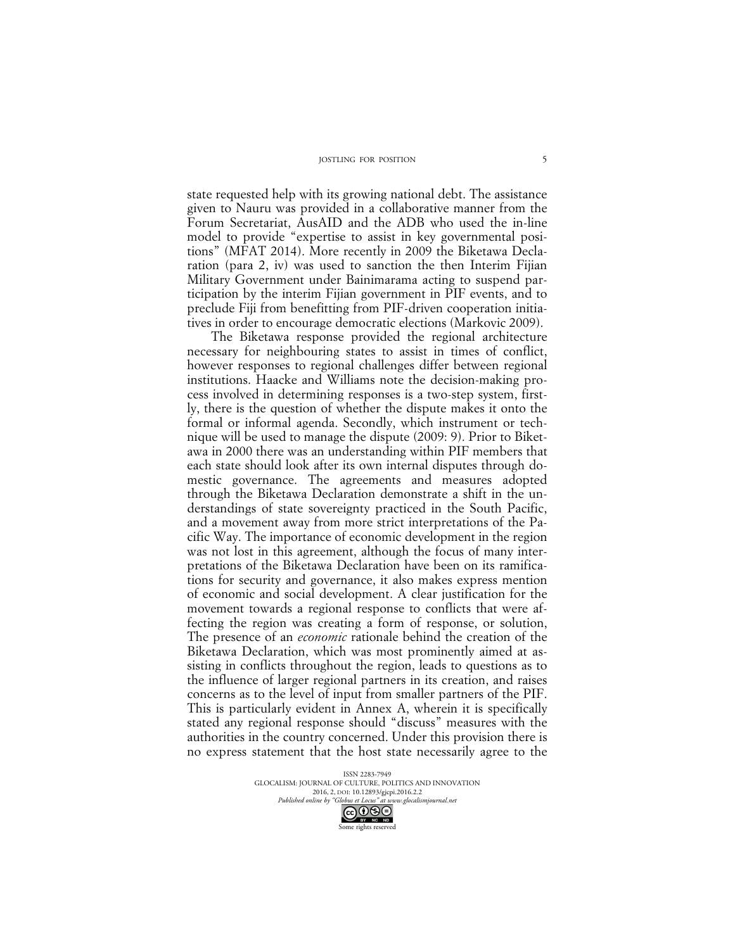state requested help with its growing national debt. The assistance given to Nauru was provided in a collaborative manner from the Forum Secretariat, AusAID and the ADB who used the in-line model to provide "expertise to assist in key governmental positions" (MFAT 2014). More recently in 2009 the Biketawa Declaration (para 2, iv) was used to sanction the then Interim Fijian Military Government under Bainimarama acting to suspend participation by the interim Fijian government in PIF events, and to preclude Fiji from benefitting from PIF-driven cooperation initiatives in order to encourage democratic elections (Markovic 2009).

The Biketawa response provided the regional architecture necessary for neighbouring states to assist in times of conflict, however responses to regional challenges differ between regional institutions. Haacke and Williams note the decision-making process involved in determining responses is a two-step system, firstly, there is the question of whether the dispute makes it onto the formal or informal agenda. Secondly, which instrument or technique will be used to manage the dispute (2009: 9). Prior to Biketawa in 2000 there was an understanding within PIF members that each state should look after its own internal disputes through domestic governance. The agreements and measures adopted through the Biketawa Declaration demonstrate a shift in the understandings of state sovereignty practiced in the South Pacific, and a movement away from more strict interpretations of the Pacific Way. The importance of economic development in the region was not lost in this agreement, although the focus of many interpretations of the Biketawa Declaration have been on its ramifications for security and governance, it also makes express mention of economic and social development. A clear justification for the movement towards a regional response to conflicts that were affecting the region was creating a form of response, or solution, The presence of an *economic* rationale behind the creation of the Biketawa Declaration, which was most prominently aimed at assisting in conflicts throughout the region, leads to questions as to the influence of larger regional partners in its creation, and raises concerns as to the level of input from smaller partners of the PIF. This is particularly evident in Annex A, wherein it is specifically stated any regional response should "discuss" measures with the authorities in the country concerned. Under this provision there is no express statement that the host state necessarily agree to the

> ISSN 2283-7949 GLOCALISM: JOURNAL OF CULTURE, POLITICS AND INNOVATION 2016, 2, DOI: 10.12893/gjcpi.2016.2.2<br>nline by "Globus et Locus" at www.glocalismiournal net *Published online by "Globus et Locus" at www.glocalismigues*

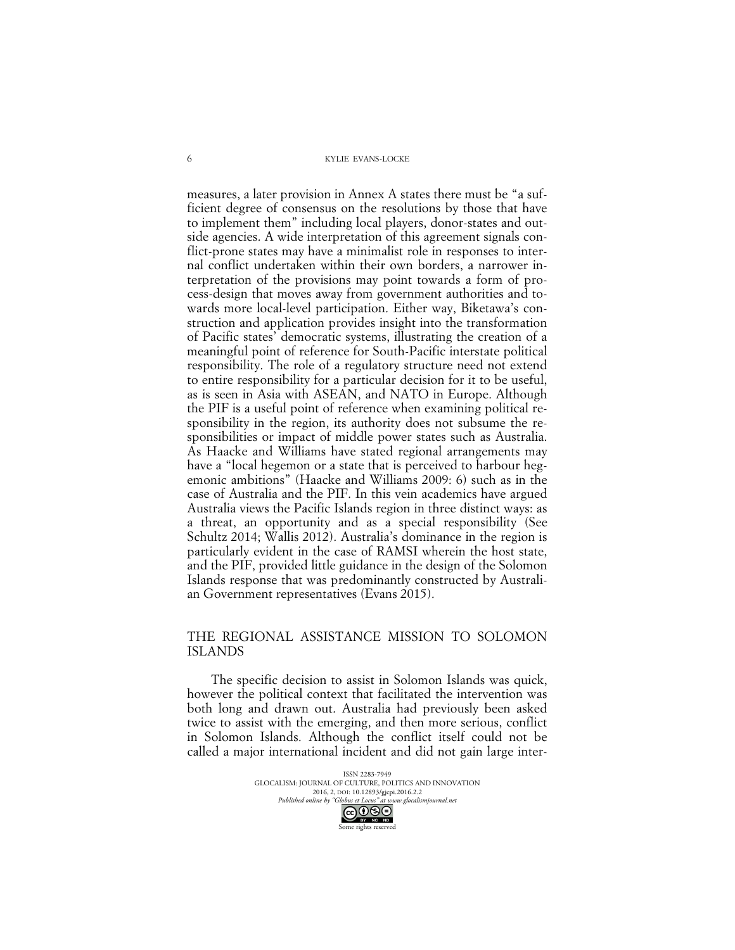measures, a later provision in Annex A states there must be "a sufficient degree of consensus on the resolutions by those that have to implement them" including local players, donor-states and outside agencies. A wide interpretation of this agreement signals conflict-prone states may have a minimalist role in responses to internal conflict undertaken within their own borders, a narrower interpretation of the provisions may point towards a form of process-design that moves away from government authorities and towards more local-level participation. Either way, Biketawa's construction and application provides insight into the transformation of Pacific states' democratic systems, illustrating the creation of a meaningful point of reference for South-Pacific interstate political responsibility. The role of a regulatory structure need not extend to entire responsibility for a particular decision for it to be useful, as is seen in Asia with ASEAN, and NATO in Europe. Although the PIF is a useful point of reference when examining political responsibility in the region, its authority does not subsume the responsibilities or impact of middle power states such as Australia. As Haacke and Williams have stated regional arrangements may have a "local hegemon or a state that is perceived to harbour hegemonic ambitions" (Haacke and Williams 2009: 6) such as in the case of Australia and the PIF. In this vein academics have argued Australia views the Pacific Islands region in three distinct ways: as a threat, an opportunity and as a special responsibility (See Schultz 2014; Wallis 2012). Australia's dominance in the region is particularly evident in the case of RAMSI wherein the host state, and the PIF, provided little guidance in the design of the Solomon Islands response that was predominantly constructed by Australian Government representatives (Evans 2015).

# THE REGIONAL ASSISTANCE MISSION TO SOLOMON ISLANDS

The specific decision to assist in Solomon Islands was quick, however the political context that facilitated the intervention was both long and drawn out. Australia had previously been asked twice to assist with the emerging, and then more serious, conflict in Solomon Islands. Although the conflict itself could not be called a major international incident and did not gain large inter-

> ISSN 2283-7949 GLOCALISM: JOURNAL OF CULTURE, POLITICS AND INNOVATION 2016, 2, DOI: 10.12893/gjcpi.2016.2.2<br>nline by "Globus et Locus" at www.glocalismiournal net *Published online by "Globus et Locus" at www.glocalismigues*  $\bigodot_{\text{BV}} \bigodot_{\text{NC}} \bigodot_{\text{ND}}$

Some rights reserved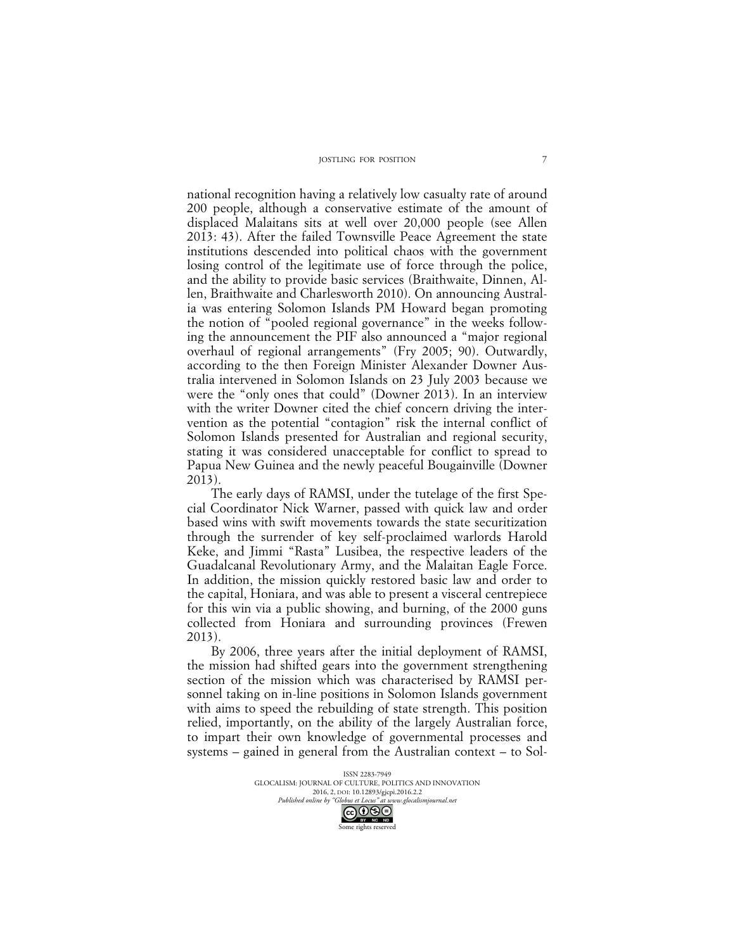national recognition having a relatively low casualty rate of around 200 people, although a conservative estimate of the amount of displaced Malaitans sits at well over 20,000 people (see Allen 2013: 43). After the failed Townsville Peace Agreement the state institutions descended into political chaos with the government losing control of the legitimate use of force through the police, and the ability to provide basic services (Braithwaite, Dinnen, Allen, Braithwaite and Charlesworth 2010). On announcing Australia was entering Solomon Islands PM Howard began promoting the notion of "pooled regional governance" in the weeks following the announcement the PIF also announced a "major regional overhaul of regional arrangements" (Fry 2005; 90). Outwardly, according to the then Foreign Minister Alexander Downer Australia intervened in Solomon Islands on 23 July 2003 because we were the "only ones that could" (Downer 2013). In an interview with the writer Downer cited the chief concern driving the intervention as the potential "contagion" risk the internal conflict of Solomon Islands presented for Australian and regional security, stating it was considered unacceptable for conflict to spread to Papua New Guinea and the newly peaceful Bougainville (Downer 2013).

The early days of RAMSI, under the tutelage of the first Special Coordinator Nick Warner, passed with quick law and order based wins with swift movements towards the state securitization through the surrender of key self-proclaimed warlords Harold Keke, and Jimmi "Rasta" Lusibea, the respective leaders of the Guadalcanal Revolutionary Army, and the Malaitan Eagle Force. In addition, the mission quickly restored basic law and order to the capital, Honiara, and was able to present a visceral centrepiece for this win via a public showing, and burning, of the 2000 guns collected from Honiara and surrounding provinces (Frewen 2013).

By 2006, three years after the initial deployment of RAMSI, the mission had shifted gears into the government strengthening section of the mission which was characterised by RAMSI personnel taking on in-line positions in Solomon Islands government with aims to speed the rebuilding of state strength. This position relied, importantly, on the ability of the largely Australian force, to impart their own knowledge of governmental processes and systems – gained in general from the Australian context – to Sol-

> ISSN 2283-7949 GLOCALISM: JOURNAL OF CULTURE, POLITICS AND INNOVATION 2016, 2, DOI: 10.12893/gjcpi.2016.2.2<br>nline by "Globus et Locus" at www.glocalismiournal net *Published online by "Globus et Locus" at www.glocalismigues*  $\bigodot_{\text{BV}} \bigodot_{\text{NC}} \bigodot_{\text{ND}}$

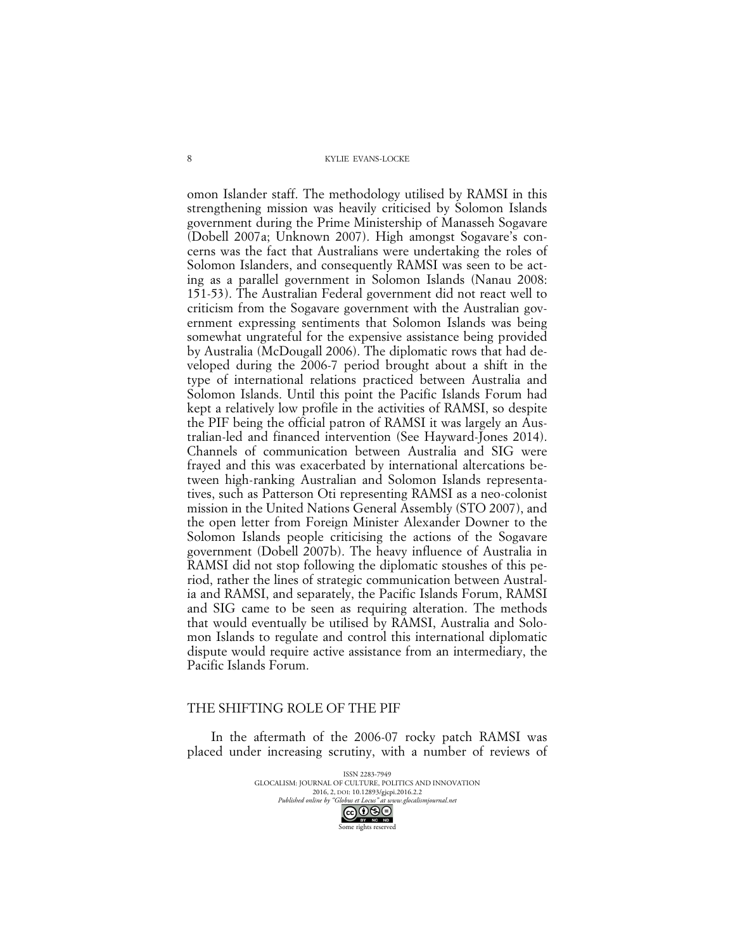omon Islander staff. The methodology utilised by RAMSI in this strengthening mission was heavily criticised by Solomon Islands government during the Prime Ministership of Manasseh Sogavare (Dobell 2007a; Unknown 2007). High amongst Sogavare's concerns was the fact that Australians were undertaking the roles of Solomon Islanders, and consequently RAMSI was seen to be acting as a parallel government in Solomon Islands (Nanau 2008: 151-53). The Australian Federal government did not react well to criticism from the Sogavare government with the Australian government expressing sentiments that Solomon Islands was being somewhat ungrateful for the expensive assistance being provided by Australia (McDougall 2006). The diplomatic rows that had developed during the 2006-7 period brought about a shift in the type of international relations practiced between Australia and Solomon Islands. Until this point the Pacific Islands Forum had kept a relatively low profile in the activities of RAMSI, so despite the PIF being the official patron of RAMSI it was largely an Australian-led and financed intervention (See Hayward-Jones 2014). Channels of communication between Australia and SIG were frayed and this was exacerbated by international altercations between high-ranking Australian and Solomon Islands representatives, such as Patterson Oti representing RAMSI as a neo-colonist mission in the United Nations General Assembly (STO 2007), and the open letter from Foreign Minister Alexander Downer to the Solomon Islands people criticising the actions of the Sogavare government (Dobell 2007b). The heavy influence of Australia in RAMSI did not stop following the diplomatic stoushes of this period, rather the lines of strategic communication between Australia and RAMSI, and separately, the Pacific Islands Forum, RAMSI and SIG came to be seen as requiring alteration. The methods that would eventually be utilised by RAMSI, Australia and Solomon Islands to regulate and control this international diplomatic dispute would require active assistance from an intermediary, the Pacific Islands Forum.

### THE SHIFTING ROLE OF THE PIF

In the aftermath of the 2006-07 rocky patch RAMSI was placed under increasing scrutiny, with a number of reviews of

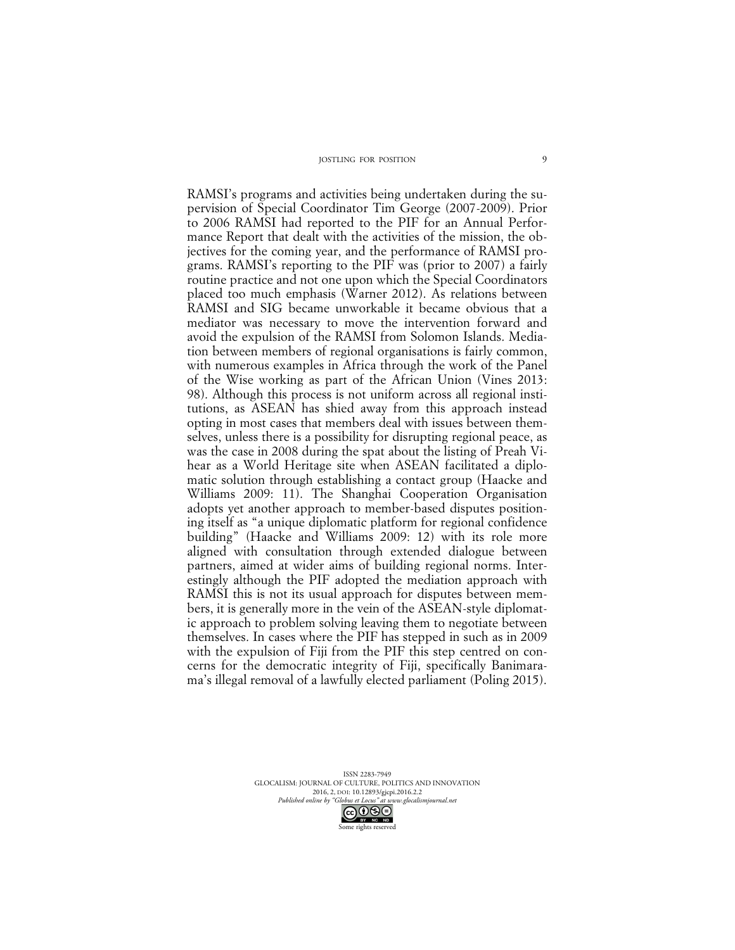RAMSI's programs and activities being undertaken during the supervision of Special Coordinator Tim George (2007-2009). Prior to 2006 RAMSI had reported to the PIF for an Annual Performance Report that dealt with the activities of the mission, the objectives for the coming year, and the performance of RAMSI programs. RAMSI's reporting to the PIF was (prior to 2007) a fairly routine practice and not one upon which the Special Coordinators placed too much emphasis (Warner 2012). As relations between RAMSI and SIG became unworkable it became obvious that a mediator was necessary to move the intervention forward and avoid the expulsion of the RAMSI from Solomon Islands. Mediation between members of regional organisations is fairly common, with numerous examples in Africa through the work of the Panel of the Wise working as part of the African Union (Vines 2013: 98). Although this process is not uniform across all regional institutions, as ASEAN has shied away from this approach instead opting in most cases that members deal with issues between themselves, unless there is a possibility for disrupting regional peace, as was the case in 2008 during the spat about the listing of Preah Vihear as a World Heritage site when ASEAN facilitated a diplomatic solution through establishing a contact group (Haacke and Williams 2009: 11). The Shanghai Cooperation Organisation adopts yet another approach to member-based disputes positioning itself as "a unique diplomatic platform for regional confidence building" (Haacke and Williams 2009: 12) with its role more aligned with consultation through extended dialogue between partners, aimed at wider aims of building regional norms. Interestingly although the PIF adopted the mediation approach with RAMSI this is not its usual approach for disputes between members, it is generally more in the vein of the ASEAN-style diplomatic approach to problem solving leaving them to negotiate between themselves. In cases where the PIF has stepped in such as in 2009 with the expulsion of Fiji from the PIF this step centred on concerns for the democratic integrity of Fiji, specifically Banimarama's illegal removal of a lawfully elected parliament (Poling 2015).

> ISSN 2283-7949 GLOCALISM: JOURNAL OF CULTURE, POLITICS AND INNOVATION 2016, 2, DOI: 10.12893/gjcpi.2016.2.2<br>nline by "Globus et Locus" at www.glocalismiournal net

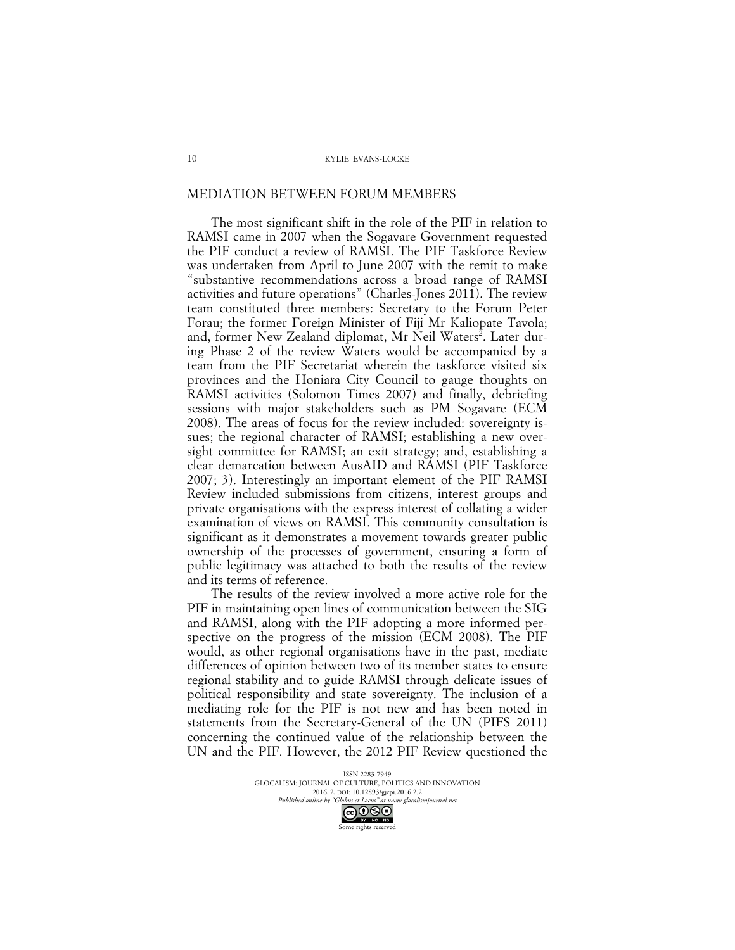### MEDIATION BETWEEN FORUM MEMBERS

The most significant shift in the role of the PIF in relation to RAMSI came in 2007 when the Sogavare Government requested the PIF conduct a review of RAMSI. The PIF Taskforce Review was undertaken from April to June 2007 with the remit to make "substantive recommendations across a broad range of RAMSI activities and future operations" (Charles-Jones 2011). The review team constituted three members: Secretary to the Forum Peter Forau; the former Foreign Minister of Fiji Mr Kaliopate Tavola; and, former New Zealand diplomat, Mr Neil Waters<sup>2</sup>. Later during Phase 2 of the review Waters would be accompanied by a team from the PIF Secretariat wherein the taskforce visited six provinces and the Honiara City Council to gauge thoughts on RAMSI activities (Solomon Times 2007) and finally, debriefing sessions with major stakeholders such as PM Sogavare (ECM 2008). The areas of focus for the review included: sovereignty issues; the regional character of RAMSI; establishing a new oversight committee for RAMSI; an exit strategy; and, establishing a clear demarcation between AusAID and RAMSI (PIF Taskforce 2007; 3). Interestingly an important element of the PIF RAMSI Review included submissions from citizens, interest groups and private organisations with the express interest of collating a wider examination of views on RAMSI. This community consultation is significant as it demonstrates a movement towards greater public ownership of the processes of government, ensuring a form of public legitimacy was attached to both the results of the review and its terms of reference.

The results of the review involved a more active role for the PIF in maintaining open lines of communication between the SIG and RAMSI, along with the PIF adopting a more informed perspective on the progress of the mission (ECM 2008). The PIF would, as other regional organisations have in the past, mediate differences of opinion between two of its member states to ensure regional stability and to guide RAMSI through delicate issues of political responsibility and state sovereignty. The inclusion of a mediating role for the PIF is not new and has been noted in statements from the Secretary-General of the UN (PIFS 2011) concerning the continued value of the relationship between the UN and the PIF. However, the 2012 PIF Review questioned the

> ISSN 2283-7949 GLOCALISM: JOURNAL OF CULTURE, POLITICS AND INNOVATION 2016, 2, DOI: 10.12893/gjcpi.2016.2.2<br>nline by "Globus et Locus" at www.glocalismiournal net *Published online by "Globus et Locus" at www.glocalismigues*

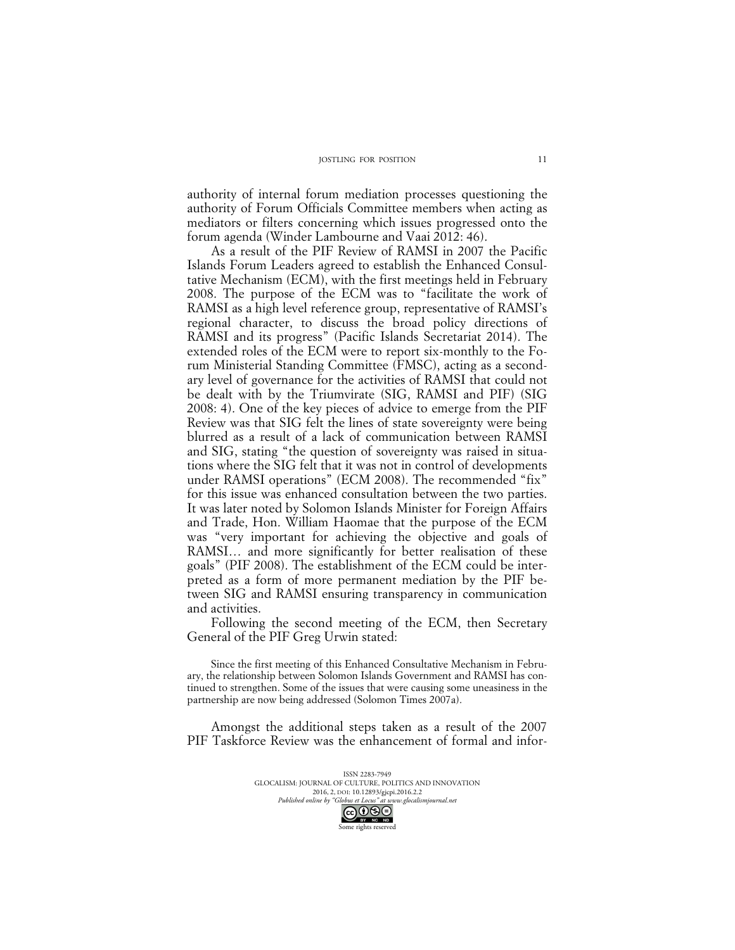authority of internal forum mediation processes questioning the authority of Forum Officials Committee members when acting as mediators or filters concerning which issues progressed onto the forum agenda (Winder Lambourne and Vaai 2012: 46).

As a result of the PIF Review of RAMSI in 2007 the Pacific Islands Forum Leaders agreed to establish the Enhanced Consultative Mechanism (ECM), with the first meetings held in February 2008. The purpose of the ECM was to "facilitate the work of RAMSI as a high level reference group, representative of RAMSI's regional character, to discuss the broad policy directions of RAMSI and its progress" (Pacific Islands Secretariat 2014). The extended roles of the ECM were to report six-monthly to the Forum Ministerial Standing Committee (FMSC), acting as a secondary level of governance for the activities of RAMSI that could not be dealt with by the Triumvirate (SIG, RAMSI and PIF) (SIG 2008: 4). One of the key pieces of advice to emerge from the PIF Review was that SIG felt the lines of state sovereignty were being blurred as a result of a lack of communication between RAMSI and SIG, stating "the question of sovereignty was raised in situations where the SIG felt that it was not in control of developments under RAMSI operations" (ECM 2008). The recommended "fix" for this issue was enhanced consultation between the two parties. It was later noted by Solomon Islands Minister for Foreign Affairs and Trade, Hon. William Haomae that the purpose of the ECM was "very important for achieving the objective and goals of RAMSI… and more significantly for better realisation of these goals" (PIF 2008). The establishment of the ECM could be interpreted as a form of more permanent mediation by the PIF between SIG and RAMSI ensuring transparency in communication and activities.

Following the second meeting of the ECM, then Secretary General of the PIF Greg Urwin stated:

Since the first meeting of this Enhanced Consultative Mechanism in February, the relationship between Solomon Islands Government and RAMSI has continued to strengthen. Some of the issues that were causing some uneasiness in the partnership are now being addressed (Solomon Times 2007a).

Amongst the additional steps taken as a result of the 2007 PIF Taskforce Review was the enhancement of formal and infor-

> ISSN 2283-7949 GLOCALISM: JOURNAL OF CULTURE, POLITICS AND INNOVATION 2016, 2, DOI: 10.12893/gjcpi.2016.2.2<br>nline by "Globus et Locus" at www.glocalismiournal.net *Published online by "Globus et Locus" at www.glocalismigues*  $\bigodot_{\text{BV}} \bigodot_{\text{NC}} \bigodot_{\text{ND}}$

Some rights reserved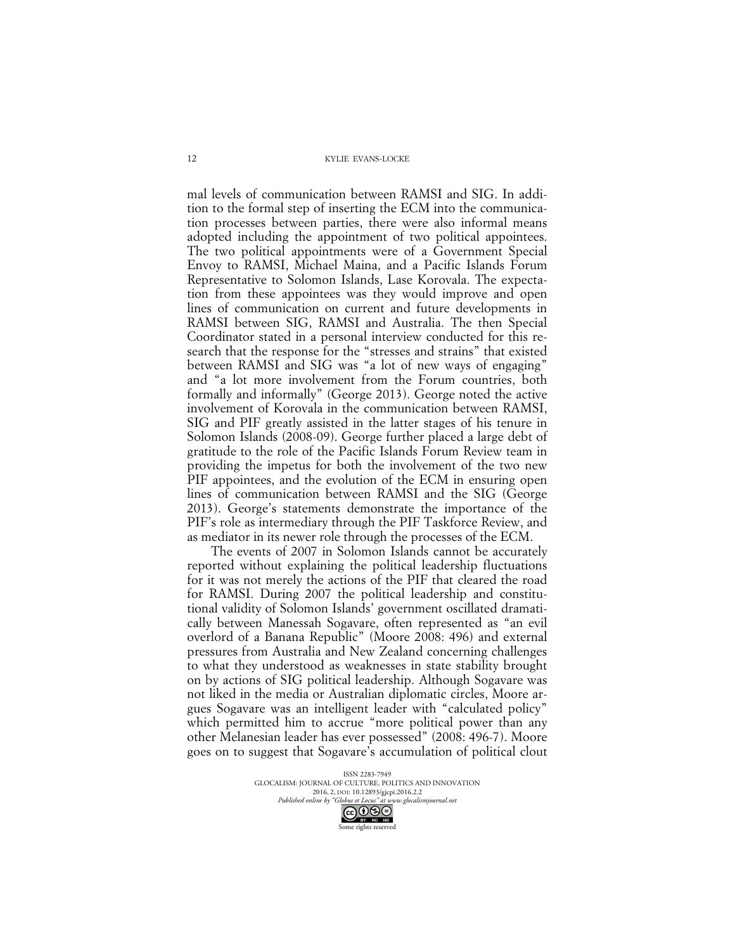mal levels of communication between RAMSI and SIG. In addition to the formal step of inserting the ECM into the communication processes between parties, there were also informal means adopted including the appointment of two political appointees. The two political appointments were of a Government Special Envoy to RAMSI, Michael Maina, and a Pacific Islands Forum Representative to Solomon Islands, Lase Korovala. The expectation from these appointees was they would improve and open lines of communication on current and future developments in RAMSI between SIG, RAMSI and Australia. The then Special Coordinator stated in a personal interview conducted for this research that the response for the "stresses and strains" that existed between RAMSI and SIG was "a lot of new ways of engaging" and "a lot more involvement from the Forum countries, both formally and informally" (George 2013). George noted the active involvement of Korovala in the communication between RAMSI, SIG and PIF greatly assisted in the latter stages of his tenure in Solomon Islands (2008-09). George further placed a large debt of gratitude to the role of the Pacific Islands Forum Review team in providing the impetus for both the involvement of the two new PIF appointees, and the evolution of the ECM in ensuring open lines of communication between RAMSI and the SIG (George 2013). George's statements demonstrate the importance of the PIF's role as intermediary through the PIF Taskforce Review, and as mediator in its newer role through the processes of the ECM.

The events of 2007 in Solomon Islands cannot be accurately reported without explaining the political leadership fluctuations for it was not merely the actions of the PIF that cleared the road for RAMSI. During 2007 the political leadership and constitutional validity of Solomon Islands' government oscillated dramatically between Manessah Sogavare, often represented as "an evil overlord of a Banana Republic" (Moore 2008: 496) and external pressures from Australia and New Zealand concerning challenges to what they understood as weaknesses in state stability brought on by actions of SIG political leadership. Although Sogavare was not liked in the media or Australian diplomatic circles, Moore argues Sogavare was an intelligent leader with "calculated policy" which permitted him to accrue "more political power than any other Melanesian leader has ever possessed" (2008: 496-7). Moore goes on to suggest that Sogavare's accumulation of political clout

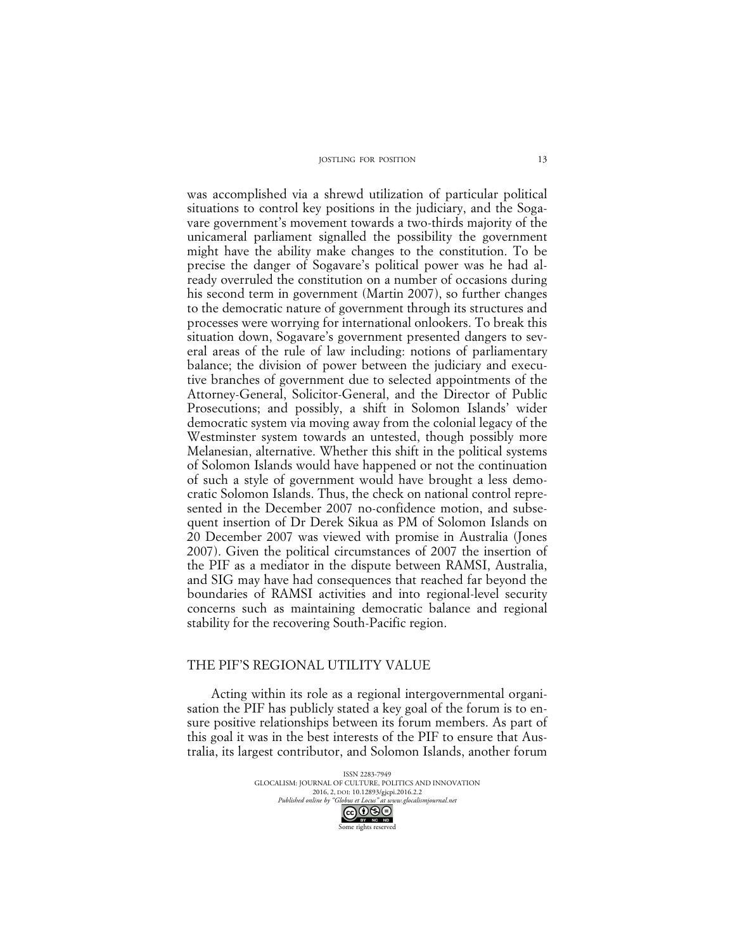was accomplished via a shrewd utilization of particular political situations to control key positions in the judiciary, and the Sogavare government's movement towards a two-thirds majority of the unicameral parliament signalled the possibility the government might have the ability make changes to the constitution. To be precise the danger of Sogavare's political power was he had already overruled the constitution on a number of occasions during his second term in government (Martin 2007), so further changes to the democratic nature of government through its structures and processes were worrying for international onlookers. To break this situation down, Sogavare's government presented dangers to several areas of the rule of law including: notions of parliamentary balance; the division of power between the judiciary and executive branches of government due to selected appointments of the Attorney-General, Solicitor-General, and the Director of Public Prosecutions; and possibly, a shift in Solomon Islands' wider democratic system via moving away from the colonial legacy of the Westminster system towards an untested, though possibly more Melanesian, alternative. Whether this shift in the political systems of Solomon Islands would have happened or not the continuation of such a style of government would have brought a less democratic Solomon Islands. Thus, the check on national control represented in the December 2007 no-confidence motion, and subsequent insertion of Dr Derek Sikua as PM of Solomon Islands on 20 December 2007 was viewed with promise in Australia (Jones 2007). Given the political circumstances of 2007 the insertion of the PIF as a mediator in the dispute between RAMSI, Australia, and SIG may have had consequences that reached far beyond the boundaries of RAMSI activities and into regional-level security concerns such as maintaining democratic balance and regional stability for the recovering South-Pacific region.

## THE PIF'S REGIONAL UTILITY VALUE

Acting within its role as a regional intergovernmental organisation the PIF has publicly stated a key goal of the forum is to ensure positive relationships between its forum members. As part of this goal it was in the best interests of the PIF to ensure that Australia, its largest contributor, and Solomon Islands, another forum

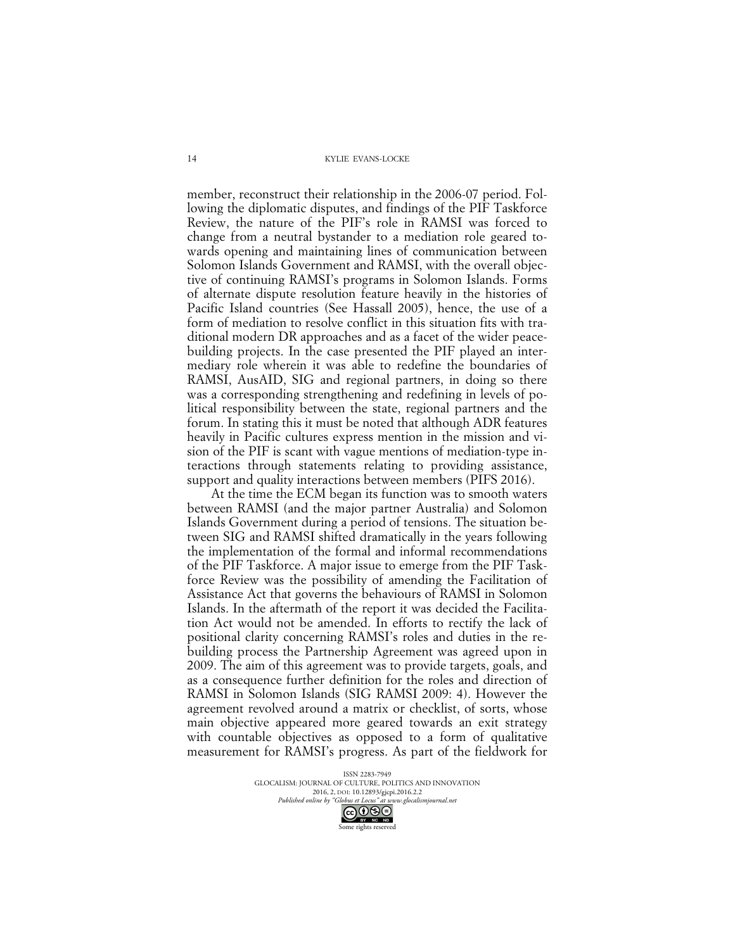member, reconstruct their relationship in the 2006-07 period. Following the diplomatic disputes, and findings of the PIF Taskforce Review, the nature of the PIF's role in RAMSI was forced to change from a neutral bystander to a mediation role geared towards opening and maintaining lines of communication between Solomon Islands Government and RAMSI, with the overall objective of continuing RAMSI's programs in Solomon Islands. Forms of alternate dispute resolution feature heavily in the histories of Pacific Island countries (See Hassall 2005), hence, the use of a form of mediation to resolve conflict in this situation fits with traditional modern DR approaches and as a facet of the wider peacebuilding projects. In the case presented the PIF played an intermediary role wherein it was able to redefine the boundaries of RAMSI, AusAID, SIG and regional partners, in doing so there was a corresponding strengthening and redefining in levels of political responsibility between the state, regional partners and the forum. In stating this it must be noted that although ADR features heavily in Pacific cultures express mention in the mission and vision of the PIF is scant with vague mentions of mediation-type interactions through statements relating to providing assistance, support and quality interactions between members (PIFS 2016).

At the time the ECM began its function was to smooth waters between RAMSI (and the major partner Australia) and Solomon Islands Government during a period of tensions. The situation between SIG and RAMSI shifted dramatically in the years following the implementation of the formal and informal recommendations of the PIF Taskforce. A major issue to emerge from the PIF Taskforce Review was the possibility of amending the Facilitation of Assistance Act that governs the behaviours of RAMSI in Solomon Islands. In the aftermath of the report it was decided the Facilitation Act would not be amended. In efforts to rectify the lack of positional clarity concerning RAMSI's roles and duties in the rebuilding process the Partnership Agreement was agreed upon in 2009. The aim of this agreement was to provide targets, goals, and as a consequence further definition for the roles and direction of RAMSI in Solomon Islands (SIG RAMSI 2009: 4). However the agreement revolved around a matrix or checklist, of sorts, whose main objective appeared more geared towards an exit strategy with countable objectives as opposed to a form of qualitative measurement for RAMSI's progress. As part of the fieldwork for

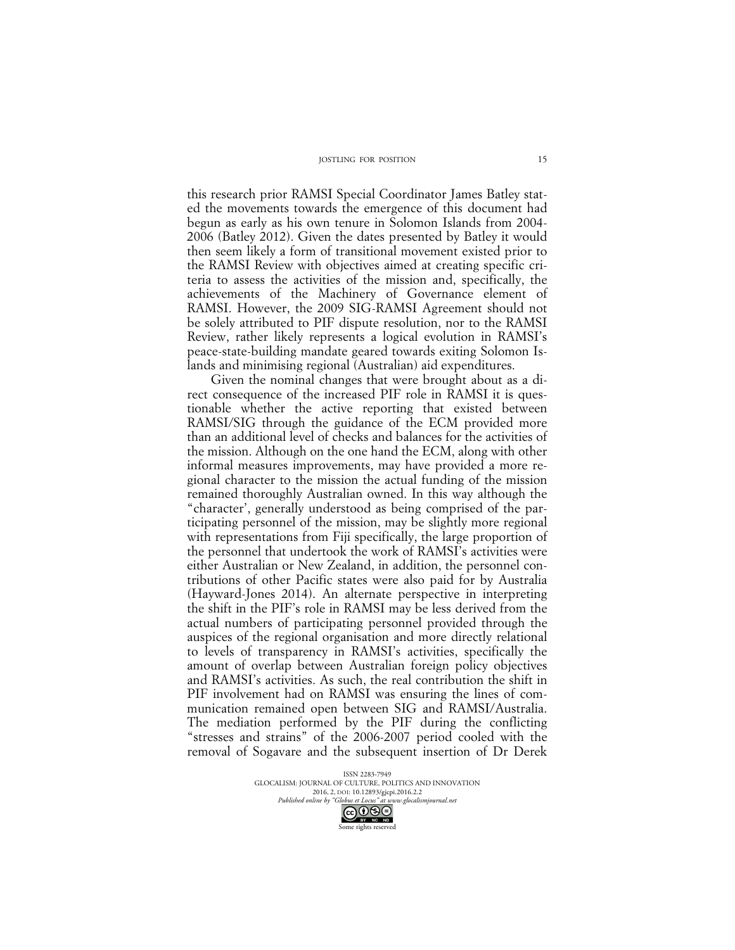this research prior RAMSI Special Coordinator James Batley stated the movements towards the emergence of this document had begun as early as his own tenure in Solomon Islands from 2004- 2006 (Batley 2012). Given the dates presented by Batley it would then seem likely a form of transitional movement existed prior to the RAMSI Review with objectives aimed at creating specific criteria to assess the activities of the mission and, specifically, the achievements of the Machinery of Governance element of RAMSI. However, the 2009 SIG-RAMSI Agreement should not be solely attributed to PIF dispute resolution, nor to the RAMSI Review, rather likely represents a logical evolution in RAMSI's peace-state-building mandate geared towards exiting Solomon Islands and minimising regional (Australian) aid expenditures.

Given the nominal changes that were brought about as a direct consequence of the increased PIF role in RAMSI it is questionable whether the active reporting that existed between RAMSI/SIG through the guidance of the ECM provided more than an additional level of checks and balances for the activities of the mission. Although on the one hand the ECM, along with other informal measures improvements, may have provided a more regional character to the mission the actual funding of the mission remained thoroughly Australian owned. In this way although the "character', generally understood as being comprised of the participating personnel of the mission, may be slightly more regional with representations from Fiji specifically, the large proportion of the personnel that undertook the work of RAMSI's activities were either Australian or New Zealand, in addition, the personnel contributions of other Pacific states were also paid for by Australia (Hayward-Jones 2014). An alternate perspective in interpreting the shift in the PIF's role in RAMSI may be less derived from the actual numbers of participating personnel provided through the auspices of the regional organisation and more directly relational to levels of transparency in RAMSI's activities, specifically the amount of overlap between Australian foreign policy objectives and RAMSI's activities. As such, the real contribution the shift in PIF involvement had on RAMSI was ensuring the lines of communication remained open between SIG and RAMSI/Australia. The mediation performed by the PIF during the conflicting "stresses and strains" of the 2006-2007 period cooled with the removal of Sogavare and the subsequent insertion of Dr Derek

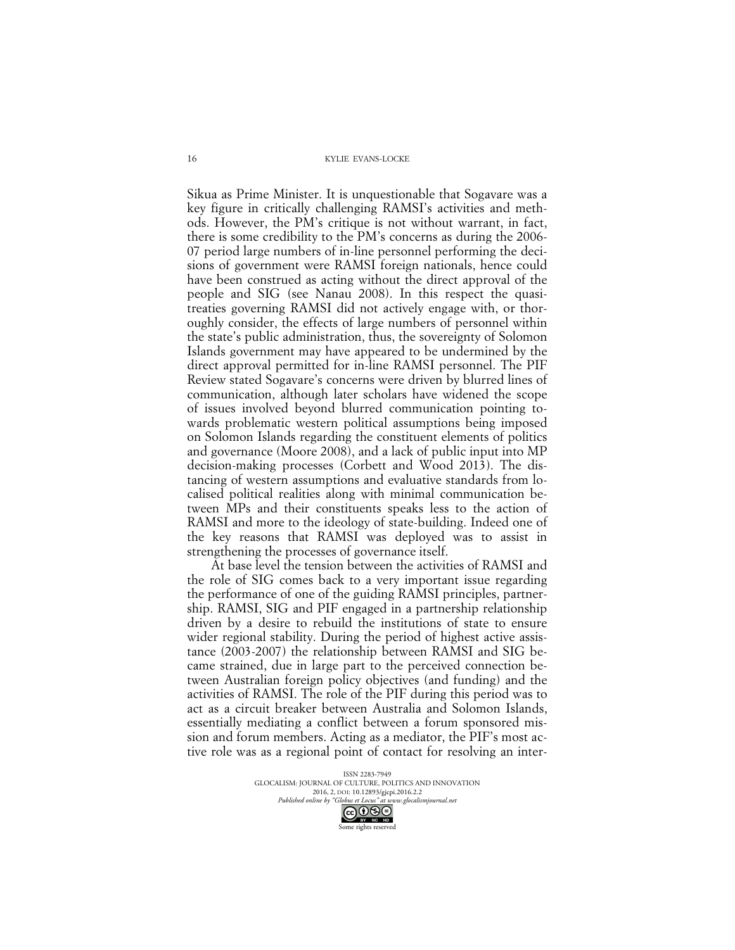Sikua as Prime Minister. It is unquestionable that Sogavare was a key figure in critically challenging RAMSI's activities and methods. However, the PM's critique is not without warrant, in fact, there is some credibility to the PM's concerns as during the 2006- 07 period large numbers of in-line personnel performing the decisions of government were RAMSI foreign nationals, hence could have been construed as acting without the direct approval of the people and SIG (see Nanau 2008). In this respect the quasitreaties governing RAMSI did not actively engage with, or thoroughly consider, the effects of large numbers of personnel within the state's public administration, thus, the sovereignty of Solomon Islands government may have appeared to be undermined by the direct approval permitted for in-line RAMSI personnel. The PIF Review stated Sogavare's concerns were driven by blurred lines of communication, although later scholars have widened the scope of issues involved beyond blurred communication pointing towards problematic western political assumptions being imposed on Solomon Islands regarding the constituent elements of politics and governance (Moore 2008), and a lack of public input into MP decision-making processes (Corbett and Wood 2013). The distancing of western assumptions and evaluative standards from localised political realities along with minimal communication between MPs and their constituents speaks less to the action of RAMSI and more to the ideology of state-building. Indeed one of the key reasons that RAMSI was deployed was to assist in strengthening the processes of governance itself.

At base level the tension between the activities of RAMSI and the role of SIG comes back to a very important issue regarding the performance of one of the guiding RAMSI principles, partnership. RAMSI, SIG and PIF engaged in a partnership relationship driven by a desire to rebuild the institutions of state to ensure wider regional stability. During the period of highest active assistance (2003-2007) the relationship between RAMSI and SIG became strained, due in large part to the perceived connection between Australian foreign policy objectives (and funding) and the activities of RAMSI. The role of the PIF during this period was to act as a circuit breaker between Australia and Solomon Islands, essentially mediating a conflict between a forum sponsored mission and forum members. Acting as a mediator, the PIF's most active role was as a regional point of contact for resolving an inter-

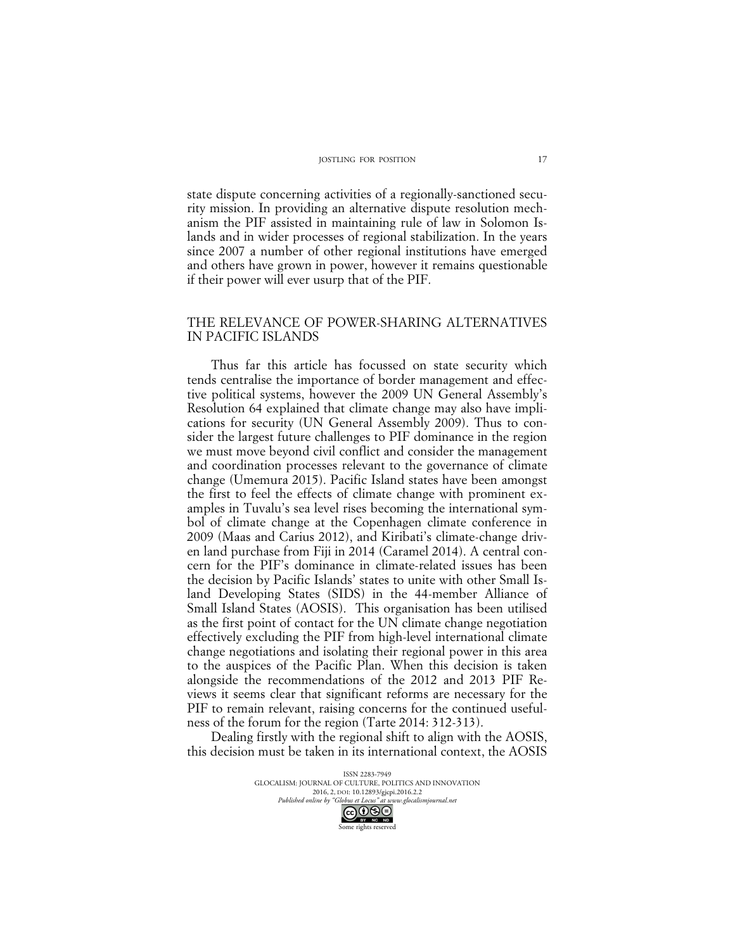state dispute concerning activities of a regionally-sanctioned security mission. In providing an alternative dispute resolution mechanism the PIF assisted in maintaining rule of law in Solomon Islands and in wider processes of regional stabilization. In the years since 2007 a number of other regional institutions have emerged and others have grown in power, however it remains questionable if their power will ever usurp that of the PIF.

# THE RELEVANCE OF POWER-SHARING ALTERNATIVES IN PACIFIC ISLANDS

Thus far this article has focussed on state security which tends centralise the importance of border management and effective political systems, however the 2009 UN General Assembly's Resolution 64 explained that climate change may also have implications for security (UN General Assembly 2009). Thus to consider the largest future challenges to PIF dominance in the region we must move beyond civil conflict and consider the management and coordination processes relevant to the governance of climate change (Umemura 2015). Pacific Island states have been amongst the first to feel the effects of climate change with prominent examples in Tuvalu's sea level rises becoming the international symbol of climate change at the Copenhagen climate conference in 2009 (Maas and Carius 2012), and Kiribati's climate-change driven land purchase from Fiji in 2014 (Caramel 2014). A central concern for the PIF's dominance in climate-related issues has been the decision by Pacific Islands' states to unite with other Small Island Developing States (SIDS) in the 44-member Alliance of Small Island States (AOSIS). This organisation has been utilised as the first point of contact for the UN climate change negotiation effectively excluding the PIF from high-level international climate change negotiations and isolating their regional power in this area to the auspices of the Pacific Plan. When this decision is taken alongside the recommendations of the 2012 and 2013 PIF Reviews it seems clear that significant reforms are necessary for the PIF to remain relevant, raising concerns for the continued usefulness of the forum for the region (Tarte 2014: 312-313).

Dealing firstly with the regional shift to align with the AOSIS, this decision must be taken in its international context, the AOSIS

> ISSN 2283-7949 GLOCALISM: JOURNAL OF CULTURE, POLITICS AND INNOVATION 2016, 2, DOI: 10.12893/gjcpi.2016.2.2<br>nline by "Globus et Locus" at www.glocalismiournal.net *Published online by "Globus et Locus" at www.glocalismigues*

Some rights reserved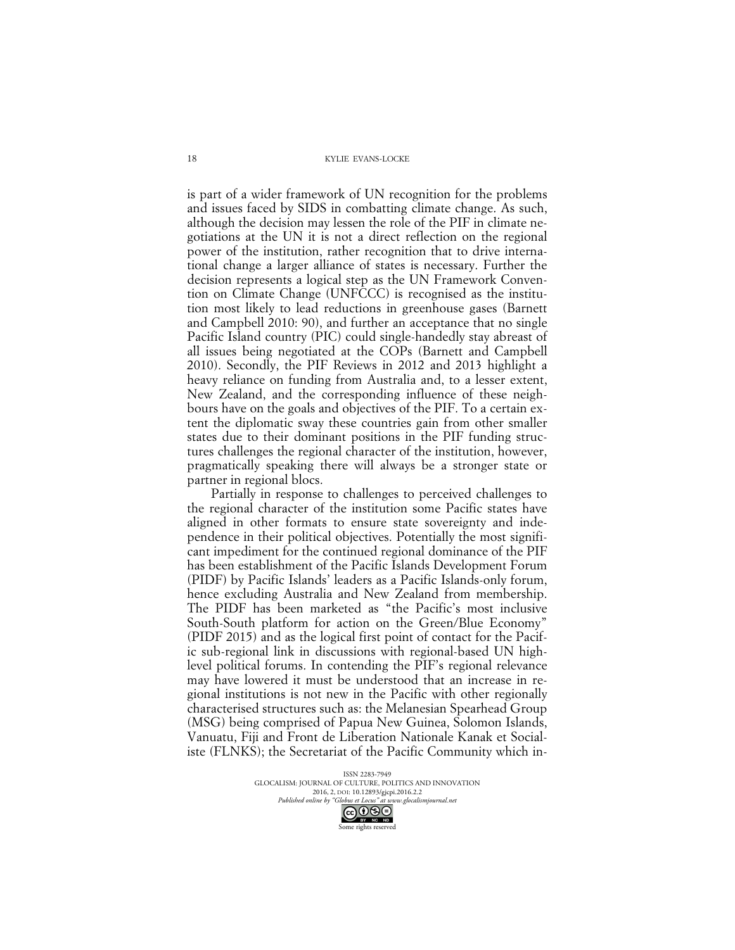is part of a wider framework of UN recognition for the problems and issues faced by SIDS in combatting climate change. As such, although the decision may lessen the role of the PIF in climate negotiations at the UN it is not a direct reflection on the regional power of the institution, rather recognition that to drive international change a larger alliance of states is necessary. Further the decision represents a logical step as the UN Framework Convention on Climate Change (UNFCCC) is recognised as the institution most likely to lead reductions in greenhouse gases (Barnett and Campbell 2010: 90), and further an acceptance that no single Pacific Island country (PIC) could single-handedly stay abreast of all issues being negotiated at the COPs (Barnett and Campbell 2010). Secondly, the PIF Reviews in 2012 and 2013 highlight a heavy reliance on funding from Australia and, to a lesser extent, New Zealand, and the corresponding influence of these neighbours have on the goals and objectives of the PIF. To a certain extent the diplomatic sway these countries gain from other smaller states due to their dominant positions in the PIF funding structures challenges the regional character of the institution, however, pragmatically speaking there will always be a stronger state or partner in regional blocs.

Partially in response to challenges to perceived challenges to the regional character of the institution some Pacific states have aligned in other formats to ensure state sovereignty and independence in their political objectives. Potentially the most significant impediment for the continued regional dominance of the PIF has been establishment of the Pacific Islands Development Forum (PIDF) by Pacific Islands' leaders as a Pacific Islands-only forum, hence excluding Australia and New Zealand from membership. The PIDF has been marketed as "the Pacific's most inclusive South-South platform for action on the Green/Blue Economy" (PIDF 2015) and as the logical first point of contact for the Pacific sub-regional link in discussions with regional-based UN highlevel political forums. In contending the PIF's regional relevance may have lowered it must be understood that an increase in regional institutions is not new in the Pacific with other regionally characterised structures such as: the Melanesian Spearhead Group (MSG) being comprised of Papua New Guinea, Solomon Islands, Vanuatu, Fiji and Front de Liberation Nationale Kanak et Socialiste (FLNKS); the Secretariat of the Pacific Community which in-

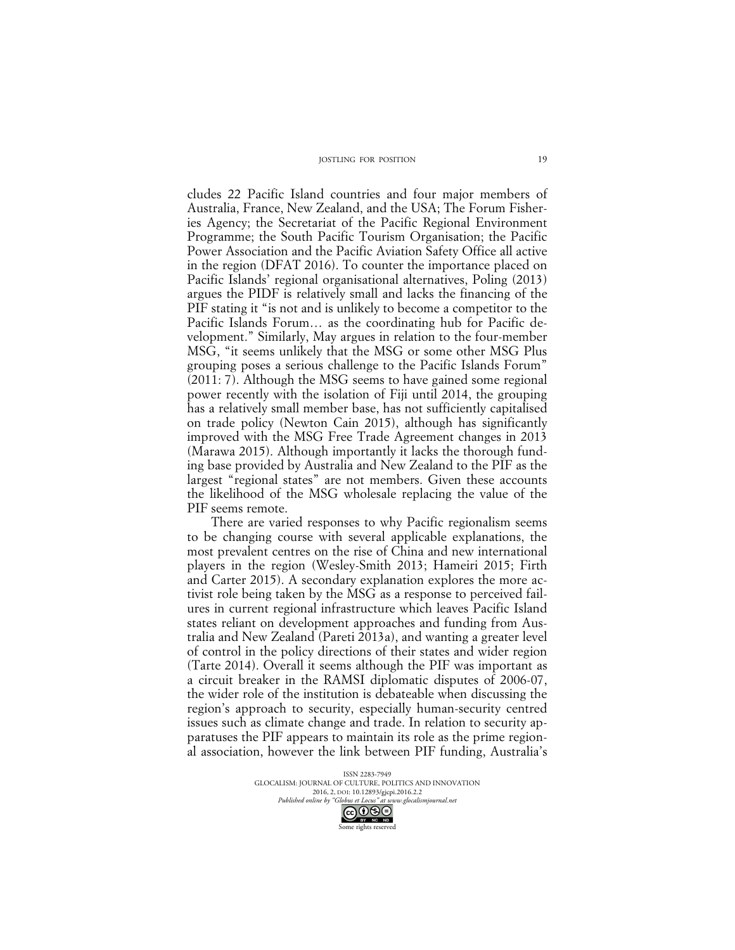cludes 22 Pacific Island countries and four major members of Australia, France, New Zealand, and the USA; The Forum Fisheries Agency; the Secretariat of the Pacific Regional Environment Programme; the South Pacific Tourism Organisation; the Pacific Power Association and the Pacific Aviation Safety Office all active in the region (DFAT 2016). To counter the importance placed on Pacific Islands' regional organisational alternatives, Poling (2013) argues the PIDF is relatively small and lacks the financing of the PIF stating it "is not and is unlikely to become a competitor to the Pacific Islands Forum… as the coordinating hub for Pacific development." Similarly, May argues in relation to the four-member MSG, "it seems unlikely that the MSG or some other MSG Plus grouping poses a serious challenge to the Pacific Islands Forum" (2011: 7). Although the MSG seems to have gained some regional power recently with the isolation of Fiji until 2014, the grouping has a relatively small member base, has not sufficiently capitalised on trade policy (Newton Cain 2015), although has significantly improved with the MSG Free Trade Agreement changes in 2013 (Marawa 2015). Although importantly it lacks the thorough funding base provided by Australia and New Zealand to the PIF as the largest "regional states" are not members. Given these accounts the likelihood of the MSG wholesale replacing the value of the PIF seems remote.

There are varied responses to why Pacific regionalism seems to be changing course with several applicable explanations, the most prevalent centres on the rise of China and new international players in the region (Wesley-Smith 2013; Hameiri 2015; Firth and Carter 2015). A secondary explanation explores the more activist role being taken by the MSG as a response to perceived failures in current regional infrastructure which leaves Pacific Island states reliant on development approaches and funding from Australia and New Zealand (Pareti 2013a), and wanting a greater level of control in the policy directions of their states and wider region (Tarte 2014). Overall it seems although the PIF was important as a circuit breaker in the RAMSI diplomatic disputes of 2006-07, the wider role of the institution is debateable when discussing the region's approach to security, especially human-security centred issues such as climate change and trade. In relation to security apparatuses the PIF appears to maintain its role as the prime regional association, however the link between PIF funding, Australia's

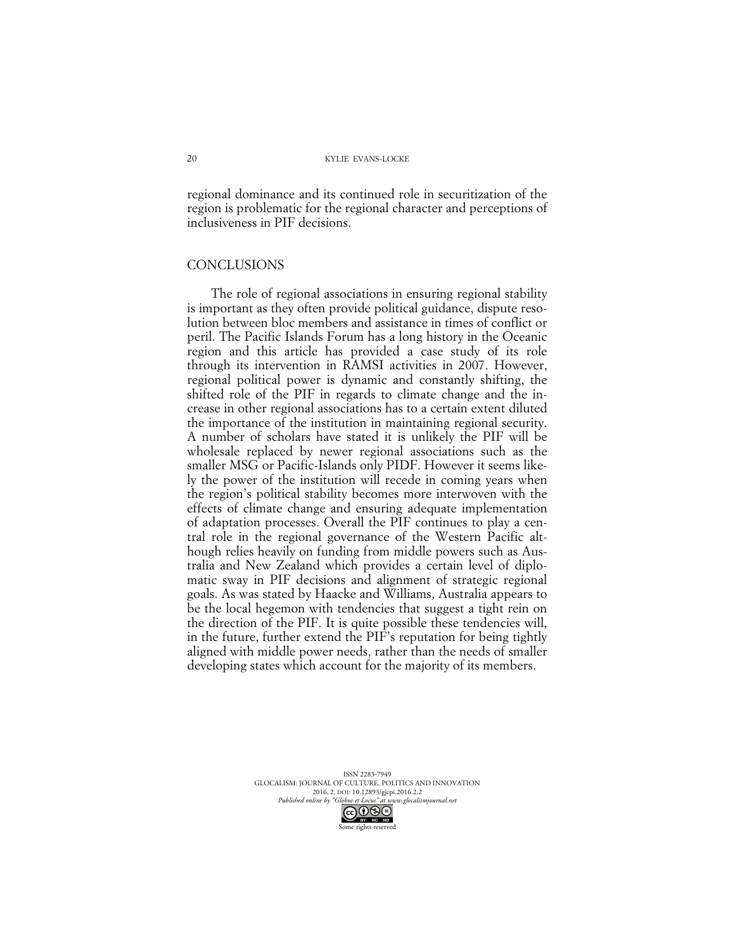regional dominance and its continued role in securitization of the region is problematic for the regional character and perceptions of inclusiveness in PIF decisions.

### **CONCLUSIONS**

The role of regional associations in ensuring regional stability is important as they often provide political guidance, dispute resolution between bloc members and assistance in times of conflict or peril. The Pacific Islands Forum has a long history in the Oceanic region and this article has provided a case study of its role through its intervention in RAMSI activities in 2007. However, regional political power is dynamic and constantly shifting, the shifted role of the PIF in regards to climate change and the increase in other regional associations has to a certain extent diluted the importance of the institution in maintaining regional security. A number of scholars have stated it is unlikely the PIF will be wholesale replaced by newer regional associations such as the smaller MSG or Pacific-Islands only PIDF. However it seems likely the power of the institution will recede in coming years when the region's political stability becomes more interwoven with the effects of climate change and ensuring adequate implementation of adaptation processes. Overall the PIF continues to play a central role in the regional governance of the Western Pacific although relies heavily on funding from middle powers such as Australia and New Zealand which provides a certain level of diplomatic sway in PIF decisions and alignment of strategic regional goals. As was stated by Haacke and Williams, Australia appears to be the local hegemon with tendencies that suggest a tight rein on the direction of the PIF. It is quite possible these tendencies will, in the future, further extend the PIF's reputation for being tightly aligned with middle power needs, rather than the needs of smaller developing states which account for the majority of its members.

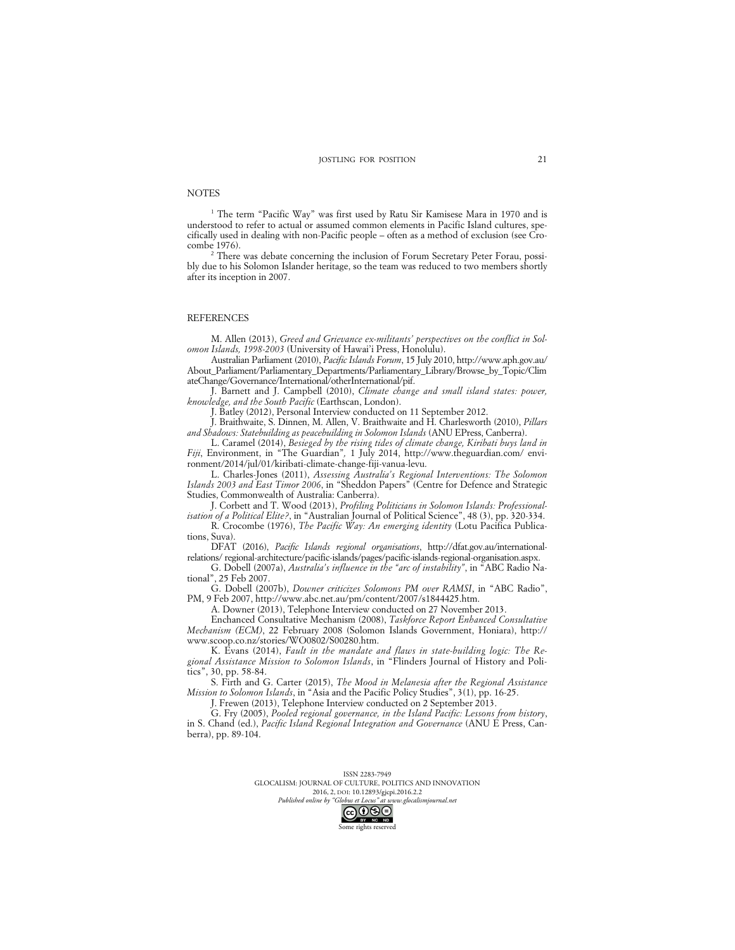#### **NOTES**

<sup>1</sup> The term "Pacific Way" was first used by Ratu Sir Kamisese Mara in 1970 and is understood to refer to actual or assumed common elements in Pacific Island cultures, specifically used in dealing with non-Pacific people – often as a method of exclusion (see Crocombe 1976).

<sup>2</sup> There was debate concerning the inclusion of Forum Secretary Peter Forau, possibly due to his Solomon Islander heritage, so the team was reduced to two members shortly after its inception in 2007.

#### **REFERENCES**

M. Allen (2013), *Greed and Grievance ex-militants' perspectives on the conflict in Solomon Islands, 1998-2003* (University of Hawai'i Press, Honolulu).

Australian Parliament (2010), *Pacific Islands Forum*, 15 July 2010, http://www.aph.gov.au/ About\_Parliament/Parliamentary\_Departments/Parliamentary\_Library/Browse\_by\_Topic/Clim ateChange/Governance/International/otherInternational/pif.

J. Barnett and J. Campbell (2010), *Climate change and small island states: power, knowledge, and the South Pacific* (Earthscan, London).

J. Batley (2012), Personal Interview conducted on 11 September 2012.

J. Braithwaite, S. Dinnen, M. Allen, V. Braithwaite and H. Charlesworth (2010), *Pillars and Shadows: Statebuilding as peacebuilding in Solomon Islands* (ANU EPress, Canberra).

L. Caramel (2014), *Besieged by the rising tides of climate change, Kiribati buys land in Fiji*, Environment, in "The Guardian"*,* 1 July 2014, http://www.theguardian.com/ environment/2014/jul/01/kiribati-climate-change-fiji-vanua-levu.

L. Charles-Jones (2011), *Assessing Australia's Regional Interventions: The Solomon Islands 2003 and East Timor 2006*, in "Sheddon Papers" (Centre for Defence and Strategic Studies, Commonwealth of Australia: Canberra).

J. Corbett and T. Wood (2013), *Profiling Politicians in Solomon Islands: Professionalisation of a Political Elite?*, in "Australian Journal of Political Science", 48 (3), pp. 320-334.

R. Crocombe (1976), *The Pacific Way: An emerging identity* (Lotu Pacifica Publications, Suva).

DFAT (2016), *Pacific Islands regional organisations*, http://dfat.gov.au/internationalrelations/ regional-architecture/pacific-islands/pages/pacific-islands-regional-organisation.aspx.

G. Dobell (2007a), *Australia's influence in the "arc of instability"*, in "ABC Radio National", 25 Feb 2007.

G. Dobell (2007b), *Downer criticizes Solomons PM over RAMSI*, in "ABC Radio", PM, 9 Feb 2007, http://www.abc.net.au/pm/content/2007/s1844425.htm.

A. Downer (2013), Telephone Interview conducted on 27 November 2013.

Enchanced Consultative Mechanism (2008), *Taskforce Report Enhanced Consultative Mechanism (ECM)*, 22 February 2008 (Solomon Islands Government, Honiara), http:// www.scoop.co.nz/stories/WO0802/S00280.htm.

K. Evans (2014), *Fault in the mandate and flaws in state-building logic: The Regional Assistance Mission to Solomon Islands*, in "Flinders Journal of History and Politics", 30, pp. 58-84.

S. Firth and G. Carter (2015), *The Mood in Melanesia after the Regional Assistance Mission to Solomon Islands*, in "Asia and the Pacific Policy Studies", 3(1), pp. 16-25.

J. Frewen (2013), Telephone Interview conducted on 2 September 2013.

G. Fry (2005), *Pooled regional governance, in the Island Pacific: Lessons from history*, in S. Chand (ed.), *Pacific Island Regional Integration and Governance* (ANU E Press, Canberra), pp. 89-104.

> ISSN 2283-7949 GLOCALISM: JOURNAL OF CULTURE, POLITICS AND INNOVATION 2016, 2, DOI: 10.12893/gjcpi.2016.2.2<br>nline by "Globus et Locus" at www.glocalismiournal.net Published online by "Globus et Locus" at v

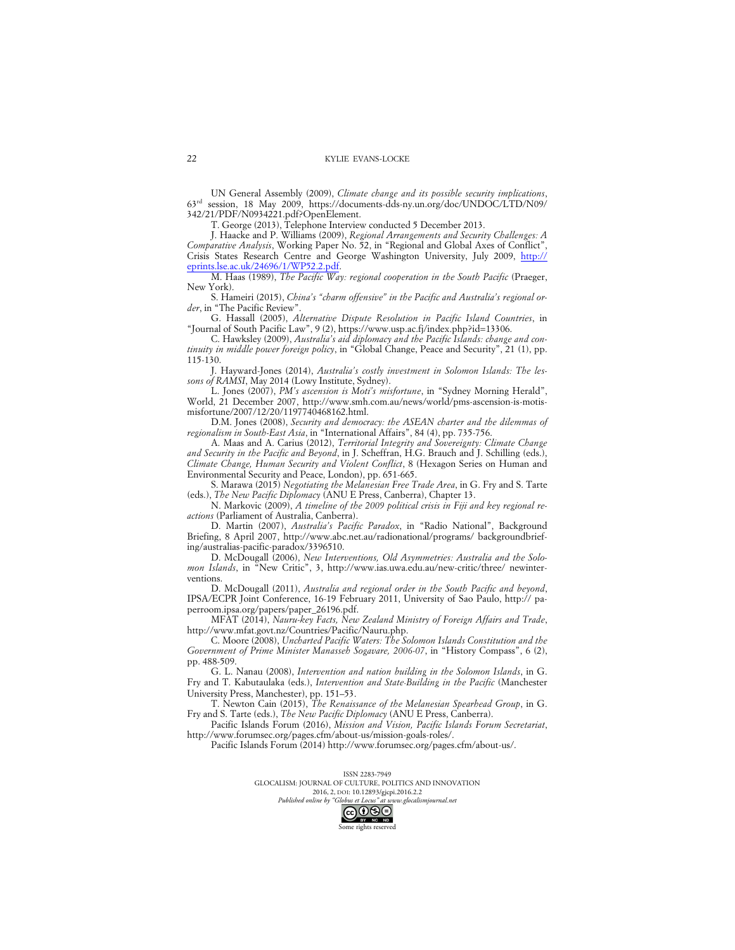UN General Assembly (2009), *Climate change and its possible security implications*, 63rd session, 18 May 2009, https://documents-dds-ny.un.org/doc/UNDOC/LTD/N09/ 342/21/PDF/N0934221.pdf?OpenElement.

T. George (2013), Telephone Interview conducted 5 December 2013.

J. Haacke and P. Williams (2009), *Regional Arrangements and Security Challenges: A Comparative Analysis*, Working Paper No. 52, in "Regional and Global Axes of Conflict", Crisis States Research Centre and George Washington University, July 2009, http:// eprints.lse.ac.uk/24696/1/WP52.2.pdf.

M. Haas (1989), *The Pacific Way: regional cooperation in the South Pacific* (Praeger, New York).

S. Hameiri (2015), *China's "charm offensive" in the Pacific and Australia's regional order*, in "The Pacific Review".

G. Hassall (2005), *Alternative Dispute Resolution in Pacific Island Countries*, in "Journal of South Pacific Law", 9 (2), https://www.usp.ac.fj/index.php?id=13306.

C. Hawksley (2009), *Australia's aid diplomacy and the Pacific Islands: change and continuity in middle power foreign policy*, in "Global Change, Peace and Security", 21 (1), pp. 115-130.

J. Hayward-Jones (2014), *Australia's costly investment in Solomon Islands: The lessons of RAMSI*, May 2014 (Lowy Institute, Sydney).

L. Jones (2007), *PM's ascension is Moti's misfortune*, in "Sydney Morning Herald", World, 21 December 2007, http://www.smh.com.au/news/world/pms-ascension-is-motismisfortune/2007/12/20/1197740468162.html.

D.M. Jones (2008), *Security and democracy: the ASEAN charter and the dilemmas of regionalism in South-East Asia*, in "International Affairs", 84 (4), pp. 735-756.

A. Maas and A. Carius (2012), *Territorial Integrity and Sovereignty: Climate Change and Security in the Pacific and Beyond*, in J. Scheffran, H.G. Brauch and J. Schilling (eds.), *Climate Change, Human Security and Violent Conflict*, 8 (Hexagon Series on Human and Environmental Security and Peace, London), pp. 651-665.

S. Marawa (2015) *Negotiating the Melanesian Free Trade Area*, in G. Fry and S. Tarte (eds.), *The New Pacific Diplomacy* (ANU E Press, Canberra), Chapter 13.

N. Markovic (2009), *A timeline of the 2009 political crisis in Fiji and key regional reactions* (Parliament of Australia, Canberra).

D. Martin (2007), *Australia's Pacific Paradox*, in "Radio National", Background Briefing, 8 April 2007, http://www.abc.net.au/radionational/programs/ backgroundbriefing/australias-pacific-paradox/3396510.

D. McDougall (2006), *New Interventions, Old Asymmetries: Australia and the Solomon Islands*, in "New Critic", 3, http://www.ias.uwa.edu.au/new-critic/three/ newinterventions.

D. McDougall (2011), *Australia and regional order in the South Pacific and beyond*, IPSA/ECPR Joint Conference, 16-19 February 2011, University of Sao Paulo, http:// paperroom.ipsa.org/papers/paper\_26196.pdf.

MFAT (2014), *Nauru-key Facts, New Zealand Ministry of Foreign Affairs and Trade*, http://www.mfat.govt.nz/Countries/Pacific/Nauru.php.

C. Moore (2008), *Uncharted Pacific Waters: The Solomon Islands Constitution and the Government of Prime Minister Manasseh Sogavare, 2006-07*, in "History Compass", 6 (2), pp. 488-509.

G. L. Nanau (2008), *Intervention and nation building in the Solomon Islands*, in G. Fry and T. Kabutaulaka (eds.), *Intervention and State‐Building in the Pacific* (Manchester University Press, Manchester), pp. 151–53.

T. Newton Cain (2015), *The Renaissance of the Melanesian Spearhead Group*, in G. Fry and S. Tarte (eds.), *The New Pacific Diplomacy* (ANU E Press, Canberra).

Pacific Islands Forum (2016), *Mission and Vision, Pacific Islands Forum Secretariat*, http://www.forumsec.org/pages.cfm/about-us/mission-goals-roles/.

Pacific Islands Forum (2014) http://www.forumsec.org/pages.cfm/about-us/.

ISSN 2283-7949 GLOCALISM: JOURNAL OF CULTURE, POLITICS AND INNOVATION 2016, 2, DOI: 10.12893/gjcpi.2016.2.2<br>nline by "Globus et Locus" at www.glocalismiournal.net